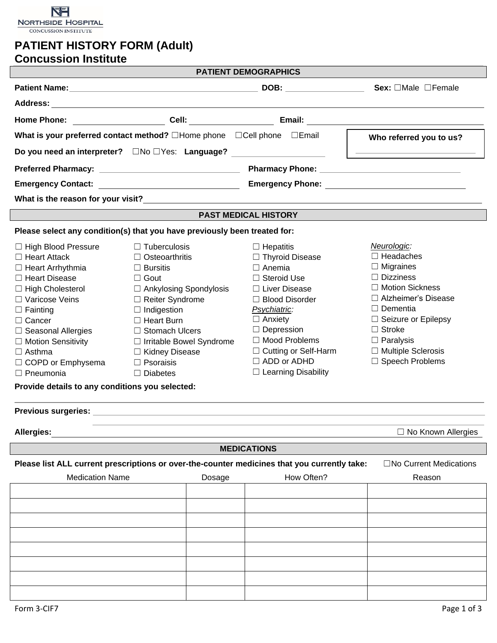

# **PATIENT HISTORY FORM (Adult)**

|                                                 |                                                                                              | <b>PATIENT DEMOGRAPHICS</b> |                                                    |  |
|-------------------------------------------------|----------------------------------------------------------------------------------------------|-----------------------------|----------------------------------------------------|--|
|                                                 |                                                                                              |                             |                                                    |  |
|                                                 |                                                                                              |                             |                                                    |  |
|                                                 |                                                                                              |                             |                                                    |  |
|                                                 | What is your preferred contact method? □Home phone □Cell phone □Email                        |                             | Who referred you to us?                            |  |
|                                                 | Do you need an interpreter? □No □Yes: Language?                                              |                             | <u> 1989 - Johann Barbara, martin amerikan per</u> |  |
|                                                 |                                                                                              |                             |                                                    |  |
|                                                 |                                                                                              |                             |                                                    |  |
|                                                 |                                                                                              |                             |                                                    |  |
|                                                 |                                                                                              | <b>PAST MEDICAL HISTORY</b> |                                                    |  |
|                                                 | Please select any condition(s) that you have previously been treated for:                    |                             |                                                    |  |
| $\Box$ High Blood Pressure                      | $\Box$ Tuberculosis                                                                          | $\Box$ Hepatitis            | Neurologic:                                        |  |
| $\Box$ Heart Attack                             | $\Box$ Osteoarthritis                                                                        | $\Box$ Thyroid Disease      | $\Box$ Headaches                                   |  |
| $\Box$ Heart Arrhythmia                         | $\Box$ Bursitis                                                                              | $\Box$ Anemia               | $\Box$ Migraines                                   |  |
| □ Heart Disease                                 | $\Box$ Gout                                                                                  | $\Box$ Steroid Use          | $\Box$ Dizziness                                   |  |
| $\Box$ High Cholesterol                         | $\Box$ Ankylosing Spondylosis                                                                | □ Liver Disease             | □ Motion Sickness                                  |  |
| □ Varicose Veins                                | □ Reiter Syndrome                                                                            | $\Box$ Blood Disorder       | □ Alzheimer's Disease                              |  |
| $\Box$ Fainting                                 | $\Box$ Indigestion                                                                           | Psychiatric:                | $\Box$ Dementia                                    |  |
| $\Box$ Cancer                                   | $\Box$ Heart Burn                                                                            | $\Box$ Anxiety              | $\Box$ Seizure or Epilepsy                         |  |
| $\Box$ Seasonal Allergies                       | □ Stomach Ulcers                                                                             | $\Box$ Depression           | $\Box$ Stroke                                      |  |
| $\Box$ Motion Sensitivity                       | □ Irritable Bowel Syndrome                                                                   | $\Box$ Mood Problems        | $\Box$ Paralysis                                   |  |
| $\Box$ Asthma                                   | □ Kidney Disease                                                                             | $\Box$ Cutting or Self-Harm | □ Multiple Sclerosis                               |  |
| □ COPD or Emphysema                             | $\Box$ Psoraisis                                                                             | $\Box$ ADD or ADHD          | □ Speech Problems                                  |  |
| $\Box$ Pneumonia                                | $\Box$ Diabetes                                                                              | $\Box$ Learning Disability  |                                                    |  |
| Provide details to any conditions you selected: |                                                                                              |                             |                                                    |  |
| <b>Previous surgeries:</b>                      |                                                                                              |                             |                                                    |  |
| <b>Allergies:</b>                               |                                                                                              |                             | $\Box$ No Known Allergies                          |  |
|                                                 |                                                                                              | <b>MEDICATIONS</b>          |                                                    |  |
|                                                 | Please list ALL current prescriptions or over-the-counter medicines that you currently take: |                             | $\Box$ No Current Medications                      |  |
| <b>Medication Name</b>                          | Dosage                                                                                       | How Often?                  | Reason                                             |  |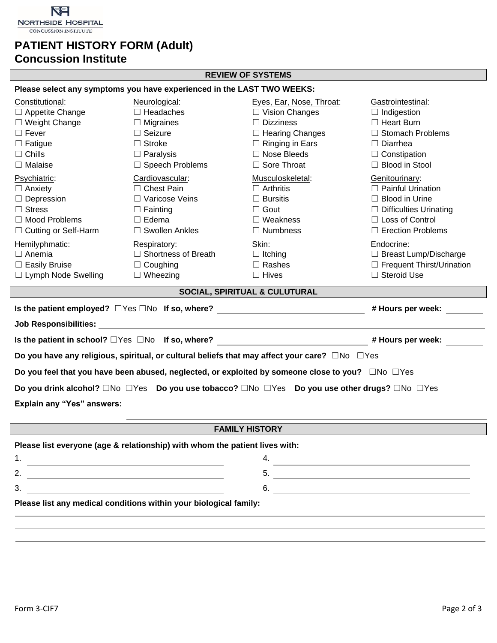

## **PATIENT HISTORY FORM (Adult)**

### **Concussion Institute**

#### **REVIEW OF SYSTEMS**

| Please select any symptoms you have experienced in the LAST TWO WEEKS: |  |
|------------------------------------------------------------------------|--|
|------------------------------------------------------------------------|--|

| Constitutional:<br>□ Appetite Change<br>$\Box$ Weight Change<br>$\Box$ Fever<br>$\Box$ Fatigue<br>$\Box$ Chills<br>$\Box$ Malaise<br>Psychiatric:<br>$\Box$ Anxiety<br>$\Box$ Depression<br>$\Box$ Stress<br>$\Box$ Mood Problems<br>$\Box$ Cutting or Self-Harm<br>Hemilyphmatic:<br>$\Box$ Anemia<br>$\Box$ Easily Bruise<br>□ Lymph Node Swelling | Neurological:<br>$\Box$ Headaches<br>$\Box$ Migraines<br>$\Box$ Seizure<br>$\Box$ Stroke<br>$\Box$ Paralysis<br>$\Box$ Speech Problems<br>Cardiovascular:<br>$\Box$ Chest Pain<br>□ Varicose Veins<br>$\Box$ Fainting<br>$\Box$ Edema<br>□ Swollen Ankles<br>Respiratory:<br>$\Box$ Shortness of Breath<br>$\Box$ Coughing<br>$\Box$ Wheezing | Eyes, Ear, Nose, Throat:<br>$\Box$ Vision Changes<br>$\Box$ Dizziness<br>$\Box$ Hearing Changes<br>$\Box$ Ringing in Ears<br>$\Box$ Nose Bleeds<br>□ Sore Throat<br>Musculoskeletal:<br>$\Box$ Arthritis<br>$\Box$ Bursitis<br>$\Box$ Gout<br>$\Box$ Weakness<br>$\Box$ Numbness<br>Skin:<br>$\Box$ Itching<br>$\Box$ Rashes<br>$\Box$ Hives | Gastrointestinal:<br>$\Box$ Indigestion<br>$\Box$ Heart Burn<br>□ Stomach Problems<br>$\Box$ Diarrhea<br>$\Box$ Constipation<br>□ Blood in Stool<br>Genitourinary:<br>$\Box$ Painful Urination<br>$\Box$ Blood in Urine<br>$\Box$ Difficulties Urinating<br>□ Loss of Control<br>$\Box$ Erection Problems<br>Endocrine:<br>$\Box$ Breast Lump/Discharge<br>□ Frequent Thirst/Urination<br>□ Steroid Use |  |  |  |
|------------------------------------------------------------------------------------------------------------------------------------------------------------------------------------------------------------------------------------------------------------------------------------------------------------------------------------------------------|-----------------------------------------------------------------------------------------------------------------------------------------------------------------------------------------------------------------------------------------------------------------------------------------------------------------------------------------------|----------------------------------------------------------------------------------------------------------------------------------------------------------------------------------------------------------------------------------------------------------------------------------------------------------------------------------------------|---------------------------------------------------------------------------------------------------------------------------------------------------------------------------------------------------------------------------------------------------------------------------------------------------------------------------------------------------------------------------------------------------------|--|--|--|
|                                                                                                                                                                                                                                                                                                                                                      |                                                                                                                                                                                                                                                                                                                                               |                                                                                                                                                                                                                                                                                                                                              |                                                                                                                                                                                                                                                                                                                                                                                                         |  |  |  |
|                                                                                                                                                                                                                                                                                                                                                      |                                                                                                                                                                                                                                                                                                                                               | SOCIAL, SPIRITUAL & CULUTURAL                                                                                                                                                                                                                                                                                                                |                                                                                                                                                                                                                                                                                                                                                                                                         |  |  |  |
|                                                                                                                                                                                                                                                                                                                                                      | Is the patient employed? □Yes □No If so, where? ________________________________                                                                                                                                                                                                                                                              |                                                                                                                                                                                                                                                                                                                                              | # Hours per week:                                                                                                                                                                                                                                                                                                                                                                                       |  |  |  |
|                                                                                                                                                                                                                                                                                                                                                      |                                                                                                                                                                                                                                                                                                                                               |                                                                                                                                                                                                                                                                                                                                              |                                                                                                                                                                                                                                                                                                                                                                                                         |  |  |  |
| Is the patient in school? □Yes □No If so, where? _______________________________                                                                                                                                                                                                                                                                     |                                                                                                                                                                                                                                                                                                                                               |                                                                                                                                                                                                                                                                                                                                              | # Hours per week:                                                                                                                                                                                                                                                                                                                                                                                       |  |  |  |
|                                                                                                                                                                                                                                                                                                                                                      | Do you have any religious, spiritual, or cultural beliefs that may affect your care? $\square$ No $\square$ Yes                                                                                                                                                                                                                               |                                                                                                                                                                                                                                                                                                                                              |                                                                                                                                                                                                                                                                                                                                                                                                         |  |  |  |
|                                                                                                                                                                                                                                                                                                                                                      | Do you feel that you have been abused, neglected, or exploited by someone close to you? □No □Yes                                                                                                                                                                                                                                              |                                                                                                                                                                                                                                                                                                                                              |                                                                                                                                                                                                                                                                                                                                                                                                         |  |  |  |
| Do you drink alcohol? □No □Yes Do you use tobacco? □No □Yes Do you use other drugs? □No □Yes                                                                                                                                                                                                                                                         |                                                                                                                                                                                                                                                                                                                                               |                                                                                                                                                                                                                                                                                                                                              |                                                                                                                                                                                                                                                                                                                                                                                                         |  |  |  |
|                                                                                                                                                                                                                                                                                                                                                      |                                                                                                                                                                                                                                                                                                                                               |                                                                                                                                                                                                                                                                                                                                              |                                                                                                                                                                                                                                                                                                                                                                                                         |  |  |  |
|                                                                                                                                                                                                                                                                                                                                                      |                                                                                                                                                                                                                                                                                                                                               |                                                                                                                                                                                                                                                                                                                                              |                                                                                                                                                                                                                                                                                                                                                                                                         |  |  |  |
|                                                                                                                                                                                                                                                                                                                                                      | <b>FAMILY HISTORY</b>                                                                                                                                                                                                                                                                                                                         |                                                                                                                                                                                                                                                                                                                                              |                                                                                                                                                                                                                                                                                                                                                                                                         |  |  |  |
| Please list everyone (age & relationship) with whom the patient lives with:                                                                                                                                                                                                                                                                          |                                                                                                                                                                                                                                                                                                                                               |                                                                                                                                                                                                                                                                                                                                              |                                                                                                                                                                                                                                                                                                                                                                                                         |  |  |  |
| 1.                                                                                                                                                                                                                                                                                                                                                   |                                                                                                                                                                                                                                                                                                                                               | 4.                                                                                                                                                                                                                                                                                                                                           |                                                                                                                                                                                                                                                                                                                                                                                                         |  |  |  |
| 2.                                                                                                                                                                                                                                                                                                                                                   |                                                                                                                                                                                                                                                                                                                                               | 5.                                                                                                                                                                                                                                                                                                                                           |                                                                                                                                                                                                                                                                                                                                                                                                         |  |  |  |

 $3.$  6. **Please list any medical conditions within your biological family:**